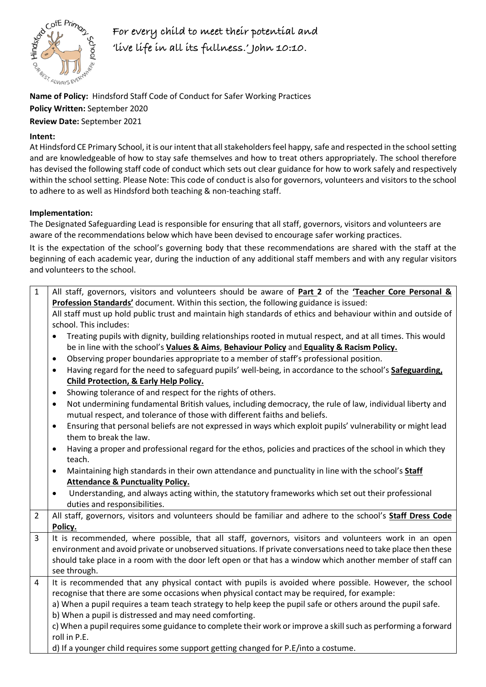

**For every child to meet their potential and 'live life in all its fullness.' John 10:10.** 

**Name of Policy:** Hindsford Staff Code of Conduct for Safer Working Practices **Policy Written:** September 2020 **Review Date:** September 2021

## **Intent:**

At Hindsford CE Primary School, it is our intent that all stakeholders feel happy, safe and respected in the school setting and are knowledgeable of how to stay safe themselves and how to treat others appropriately. The school therefore has devised the following staff code of conduct which sets out clear guidance for how to work safely and respectively within the school setting. Please Note: This code of conduct is also for governors, volunteers and visitors to the school to adhere to as well as Hindsford both teaching & non-teaching staff.

## **Implementation:**

The Designated Safeguarding Lead is responsible for ensuring that all staff, governors, visitors and volunteers are aware of the recommendations below which have been devised to encourage safer working practices.

It is the expectation of the school's governing body that these recommendations are shared with the staff at the beginning of each academic year, during the induction of any additional staff members and with any regular visitors and volunteers to the school.

| $\mathbf{1}$   | All staff, governors, visitors and volunteers should be aware of Part 2 of the 'Teacher Core Personal &<br>Profession Standards' document. Within this section, the following guidance is issued:  |
|----------------|----------------------------------------------------------------------------------------------------------------------------------------------------------------------------------------------------|
|                |                                                                                                                                                                                                    |
|                | All staff must up hold public trust and maintain high standards of ethics and behaviour within and outside of<br>school. This includes:                                                            |
|                | Treating pupils with dignity, building relationships rooted in mutual respect, and at all times. This would<br>٠                                                                                   |
|                | be in line with the school's Values & Aims, Behaviour Policy and Equality & Racism Policy.                                                                                                         |
|                | Observing proper boundaries appropriate to a member of staff's professional position.<br>$\bullet$                                                                                                 |
|                | Having regard for the need to safeguard pupils' well-being, in accordance to the school's Safeguarding,<br>$\bullet$                                                                               |
|                | <b>Child Protection, &amp; Early Help Policy.</b>                                                                                                                                                  |
|                | Showing tolerance of and respect for the rights of others.<br>$\bullet$                                                                                                                            |
|                | Not undermining fundamental British values, including democracy, the rule of law, individual liberty and<br>$\bullet$<br>mutual respect, and tolerance of those with different faiths and beliefs. |
|                | Ensuring that personal beliefs are not expressed in ways which exploit pupils' vulnerability or might lead<br>$\bullet$                                                                            |
|                | them to break the law.                                                                                                                                                                             |
|                | Having a proper and professional regard for the ethos, policies and practices of the school in which they<br>$\bullet$                                                                             |
|                | teach.                                                                                                                                                                                             |
|                | Maintaining high standards in their own attendance and punctuality in line with the school's Staff<br>$\bullet$                                                                                    |
|                | <b>Attendance &amp; Punctuality Policy.</b>                                                                                                                                                        |
|                | Understanding, and always acting within, the statutory frameworks which set out their professional<br>$\bullet$                                                                                    |
|                | duties and responsibilities.                                                                                                                                                                       |
| $\overline{2}$ | All staff, governors, visitors and volunteers should be familiar and adhere to the school's Staff Dress Code                                                                                       |
|                | Policy.                                                                                                                                                                                            |
| $\overline{3}$ | It is recommended, where possible, that all staff, governors, visitors and volunteers work in an open                                                                                              |
|                | environment and avoid private or unobserved situations. If private conversations need to take place then these                                                                                     |
|                | should take place in a room with the door left open or that has a window which another member of staff can                                                                                         |
|                | see through.                                                                                                                                                                                       |
| 4              | It is recommended that any physical contact with pupils is avoided where possible. However, the school                                                                                             |
|                | recognise that there are some occasions when physical contact may be required, for example:                                                                                                        |
|                | a) When a pupil requires a team teach strategy to help keep the pupil safe or others around the pupil safe.                                                                                        |
|                | b) When a pupil is distressed and may need comforting.                                                                                                                                             |
|                | c) When a pupil requires some guidance to complete their work or improve a skill such as performing a forward<br>roll in P.E.                                                                      |
|                | d) If a younger child requires some support getting changed for P.E/into a costume.                                                                                                                |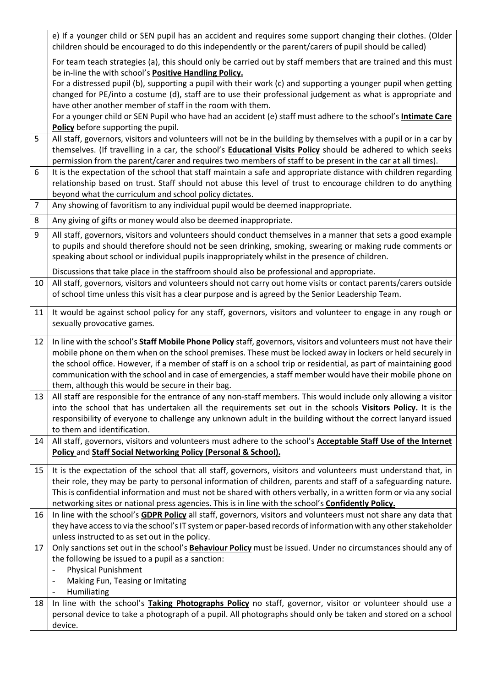|                | e) If a younger child or SEN pupil has an accident and requires some support changing their clothes. (Older<br>children should be encouraged to do this independently or the parent/carers of pupil should be called)                                                                                                                                                                                                                                               |
|----------------|---------------------------------------------------------------------------------------------------------------------------------------------------------------------------------------------------------------------------------------------------------------------------------------------------------------------------------------------------------------------------------------------------------------------------------------------------------------------|
|                | For team teach strategies (a), this should only be carried out by staff members that are trained and this must<br>be in-line the with school's <b>Positive Handling Policy.</b>                                                                                                                                                                                                                                                                                     |
|                | For a distressed pupil (b), supporting a pupil with their work (c) and supporting a younger pupil when getting<br>changed for PE/into a costume (d), staff are to use their professional judgement as what is appropriate and<br>have other another member of staff in the room with them.                                                                                                                                                                          |
|                | For a younger child or SEN Pupil who have had an accident (e) staff must adhere to the school's <b>Intimate Care</b><br>Policy before supporting the pupil.                                                                                                                                                                                                                                                                                                         |
| 5              | All staff, governors, visitors and volunteers will not be in the building by themselves with a pupil or in a car by<br>themselves. (If travelling in a car, the school's Educational Visits Policy should be adhered to which seeks<br>permission from the parent/carer and requires two members of staff to be present in the car at all times).                                                                                                                   |
| 6              | It is the expectation of the school that staff maintain a safe and appropriate distance with children regarding<br>relationship based on trust. Staff should not abuse this level of trust to encourage children to do anything<br>beyond what the curriculum and school policy dictates.                                                                                                                                                                           |
| $\overline{7}$ | Any showing of favoritism to any individual pupil would be deemed inappropriate.                                                                                                                                                                                                                                                                                                                                                                                    |
| 8              | Any giving of gifts or money would also be deemed inappropriate.                                                                                                                                                                                                                                                                                                                                                                                                    |
| 9              | All staff, governors, visitors and volunteers should conduct themselves in a manner that sets a good example<br>to pupils and should therefore should not be seen drinking, smoking, swearing or making rude comments or<br>speaking about school or individual pupils inappropriately whilst in the presence of children.                                                                                                                                          |
|                | Discussions that take place in the staffroom should also be professional and appropriate.                                                                                                                                                                                                                                                                                                                                                                           |
| 10             | All staff, governors, visitors and volunteers should not carry out home visits or contact parents/carers outside<br>of school time unless this visit has a clear purpose and is agreed by the Senior Leadership Team.                                                                                                                                                                                                                                               |
| 11             | It would be against school policy for any staff, governors, visitors and volunteer to engage in any rough or<br>sexually provocative games.                                                                                                                                                                                                                                                                                                                         |
| 12             | In line with the school's Staff Mobile Phone Policy staff, governors, visitors and volunteers must not have their                                                                                                                                                                                                                                                                                                                                                   |
|                | mobile phone on them when on the school premises. These must be locked away in lockers or held securely in<br>the school office. However, if a member of staff is on a school trip or residential, as part of maintaining good                                                                                                                                                                                                                                      |
|                | communication with the school and in case of emergencies, a staff member would have their mobile phone on<br>them, although this would be secure in their bag.                                                                                                                                                                                                                                                                                                      |
| 13             | All staff are responsible for the entrance of any non-staff members. This would include only allowing a visitor<br>into the school that has undertaken all the requirements set out in the schools Visitors Policy. It is the<br>responsibility of everyone to challenge any unknown adult in the building without the correct lanyard issued<br>to them and identification.                                                                                        |
| 14             | All staff, governors, visitors and volunteers must adhere to the school's Acceptable Staff Use of the Internet<br>Policy and Staff Social Networking Policy (Personal & School).                                                                                                                                                                                                                                                                                    |
| 15             | It is the expectation of the school that all staff, governors, visitors and volunteers must understand that, in<br>their role, they may be party to personal information of children, parents and staff of a safeguarding nature.<br>This is confidential information and must not be shared with others verbally, in a written form or via any social<br>networking sites or national press agencies. This is in line with the school's <b>Confidently Policy.</b> |
| 16             | In line with the school's GDPR Policy all staff, governors, visitors and volunteers must not share any data that                                                                                                                                                                                                                                                                                                                                                    |
|                | they have access to via the school's IT system or paper-based records of information with any other stakeholder<br>unless instructed to as set out in the policy.                                                                                                                                                                                                                                                                                                   |
| 17             | Only sanctions set out in the school's <b>Behaviour Policy</b> must be issued. Under no circumstances should any of<br>the following be issued to a pupil as a sanction:<br><b>Physical Punishment</b><br>$\qquad \qquad \blacksquare$<br>Making Fun, Teasing or Imitating<br>Humiliating<br>$\qquad \qquad \blacksquare$                                                                                                                                           |
| 18             | In line with the school's Taking Photographs Policy no staff, governor, visitor or volunteer should use a                                                                                                                                                                                                                                                                                                                                                           |
|                | personal device to take a photograph of a pupil. All photographs should only be taken and stored on a school<br>device.                                                                                                                                                                                                                                                                                                                                             |
|                |                                                                                                                                                                                                                                                                                                                                                                                                                                                                     |